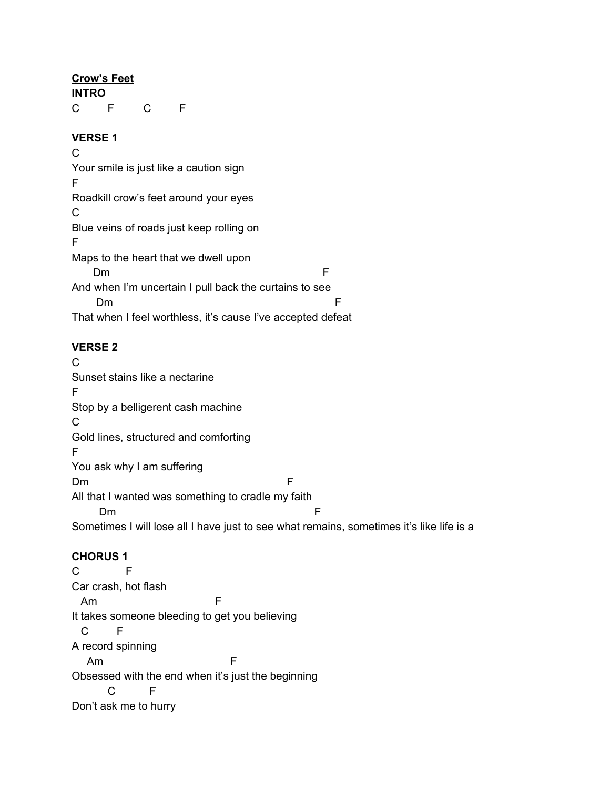### **Crow's Feet**

**INTRO** C F C F

### **VERSE 1**

 $\mathcal{C}$ Your smile is just like a caution sign F Roadkill crow's feet around your eyes  $\mathcal{C}$ Blue veins of roads just keep rolling on F Maps to the heart that we dwell upon Dm F And when I'm uncertain I pull back the curtains to see Dm F That when I feel worthless, it's cause I've accepted defeat

# **VERSE 2**

C Sunset stains like a nectarine F Stop by a belligerent cash machine C Gold lines, structured and comforting F You ask why I am suffering Dm F All that I wanted was something to cradle my faith Dm F Sometimes I will lose all I have just to see what remains, sometimes it's like life is a

# **CHORUS 1**

C F Car crash, hot flash Am F It takes someone bleeding to get you believing C F A record spinning Am F Obsessed with the end when it's just the beginning C F Don't ask me to hurry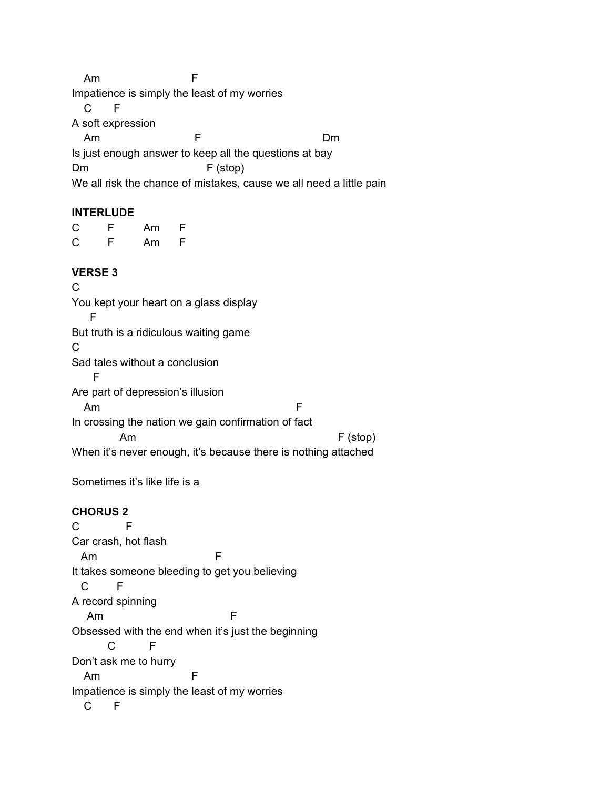Am F Impatience is simply the least of my worries C F A soft expression Am F Dm Is just enough answer to keep all the questions at bay Dm F (stop) We all risk the chance of mistakes, cause we all need a little pain

#### **INTERLUDE**

C F Am F C F Am F

#### **VERSE 3**

 $\mathcal{C}$ You kept your heart on a glass display F But truth is a ridiculous waiting game  $\mathcal{C}$ Sad tales without a conclusion F Are part of depression's illusion Am F In crossing the nation we gain confirmation of fact Am F (stop) When it's never enough, it's because there is nothing attached

Sometimes it's like life is a

### **CHORUS 2**

C F Car crash, hot flash Am F It takes someone bleeding to get you believing C F A record spinning Am F Obsessed with the end when it's just the beginning C F Don't ask me to hurry Am F Impatience is simply the least of my worries C F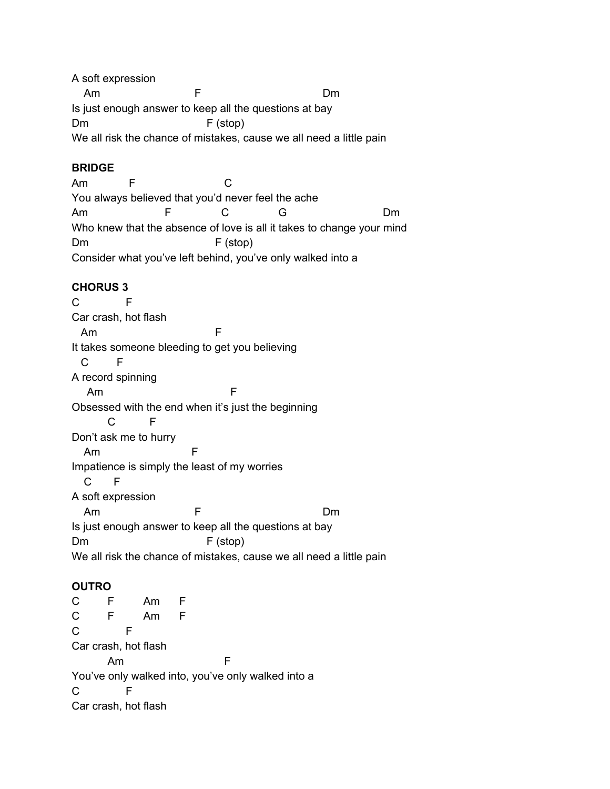A soft expression Am F Dm Is just enough answer to keep all the questions at bay Dm F (stop) We all risk the chance of mistakes, cause we all need a little pain

### **BRIDGE**

Am F C You always believed that you'd never feel the ache Am F C G Dm Who knew that the absence of love is all it takes to change your mind Dm F (stop) Consider what you've left behind, you've only walked into a

## **CHORUS 3**

C F Car crash, hot flash Am F It takes someone bleeding to get you believing C F A record spinning Am F Obsessed with the end when it's just the beginning C F Don't ask me to hurry Am F Impatience is simply the least of my worries C F A soft expression Am F Dm Is just enough answer to keep all the questions at bay Dm F (stop) We all risk the chance of mistakes, cause we all need a little pain

# **OUTRO**

C F Am F C F Am F C F Car crash, hot flash Am F You've only walked into, you've only walked into a C F Car crash, hot flash